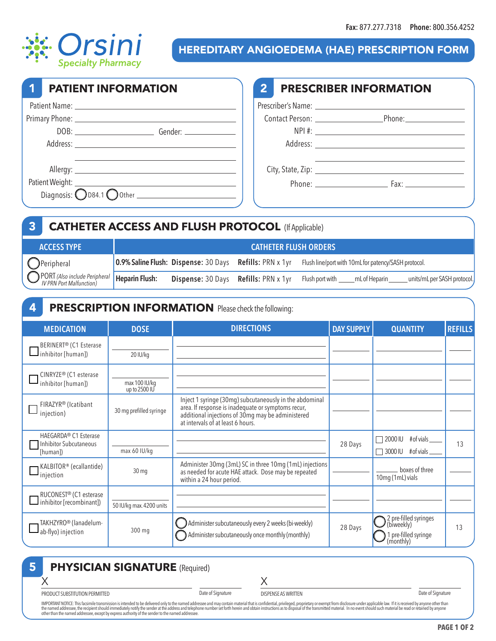

HEREDITARY ANGIOEDEMA (HAE) PRESCRIPTION FORM

| <b>PATIENT INFORMATION</b> |                                                                            | $\mathbf{2}$ | <b>PRESCRIBER INFORMATION</b> |  |  |
|----------------------------|----------------------------------------------------------------------------|--------------|-------------------------------|--|--|
|                            |                                                                            |              |                               |  |  |
|                            |                                                                            |              |                               |  |  |
|                            |                                                                            |              |                               |  |  |
|                            |                                                                            |              |                               |  |  |
|                            |                                                                            |              |                               |  |  |
|                            |                                                                            |              |                               |  |  |
|                            | Diagnosis: $\bigcirc$ D84.1 $\bigcirc$ Other $\qquad \qquad \qquad \qquad$ |              |                               |  |  |

|                                                | <b>CATHETER ACCESS AND FLUSH PROTOCOL (If Applicable)</b> |                                                                |  |                                                      |  |                             |  |
|------------------------------------------------|-----------------------------------------------------------|----------------------------------------------------------------|--|------------------------------------------------------|--|-----------------------------|--|
| <b>ACCESS TYPE</b>                             | <b>CATHETER FLUSH ORDERS</b>                              |                                                                |  |                                                      |  |                             |  |
| $\bigcirc$ Peripheral                          |                                                           | <b>0.9% Saline Flush: Dispense: 30 Days Refills: PRN x 1yr</b> |  | Flush line/port with 10mL for patency/SASH protocol. |  |                             |  |
| PORT (Also include Peripheral   Heparin Flush: |                                                           | <b>Dispense: 30 Days Refills: PRN x 1yr</b>                    |  | Flush port with ______ mL of Heparin ______          |  | units/mL per SASH protocol. |  |

## **4 PRESCRIPTION INFORMATION** Please check the following: **MEDICATION DOSE DIRECTIONS DAY SUPPLY QUANTITY REFILLS** 20 IU/kg BERINERT® (C1 Esterase  $\Box$ inhibitor [human]) max 100 IU/kg up to 2500 IU CINRYZE® (C1 esterase inhibitor [human]) 30 mg prefilled syringe  $FIPAYVPR(1_{c_1} + h_1)$ injection) Inject 1 syringe (30mg) subcutaneously in the abdominal area. If response is inadequate or symptoms recur, additional injections of 30mg may be administered

| FIRAZYR® (Icatibant<br>injection)                                              | 30 mg prefilled syringe  | area. If response is inadequate or symptoms recur,<br>additional injections of 30mg may be administered<br>at intervals of at least 6 hours. |         |                                                                          |    |
|--------------------------------------------------------------------------------|--------------------------|----------------------------------------------------------------------------------------------------------------------------------------------|---------|--------------------------------------------------------------------------|----|
| HAEGARDA <sup>®</sup> C1 Esterase<br><b>Inhibitor Subcutaneous</b><br>[human]) | max 60 IU/kg             |                                                                                                                                              | 28 Days | #of vials____<br>$\Box$ 2000 IU<br>$\Box$ 3000 IU<br>$#$ of vials $\_$   | 13 |
| KALBITOR® (ecallantide)<br>$\mathsf{\mathsf{I}}$ injection                     | $30 \,\mathrm{mg}$       | Administer 30mg (3mL) SC in three 10mg (1mL) injections<br>as needed for acute HAE attack. Dose may be repeated<br>within a 24 hour period.  |         | boxes of three<br>10mg (1mL) vials                                       |    |
| RUCONEST <sup>®</sup> (C1 esterase<br>Inhibitor [recombinant])                 | 50 IU/kg max. 4200 units |                                                                                                                                              |         |                                                                          |    |
| TAKHZYRO <sup>®</sup> (lanadelum-<br>$\blacksquare$ ab-flyo) injection         | 300 mg                   | Administer subcutaneously every 2 weeks (bi-weekly)<br>Administer subcutaneously once monthly (monthly)                                      | 28 Days | 2 pre-filled syringes<br>(biweekly)<br>1 pre-filled syringe<br>(monthly) | 13 |

## **PHYSICIAN SIGNATURE** (Required) 5

PRODUCT SUBSTITUTION PERMITTED

X

X

DISPENSE AS WRITTEN Date of Signature

IMPORTANT NOTICE: This facsimile transmission is intended to be delivered only to the named addressee and may contain material that is confidential, privileged, proprietary or exempt from disclosure under applicable law. I

Date of Signature